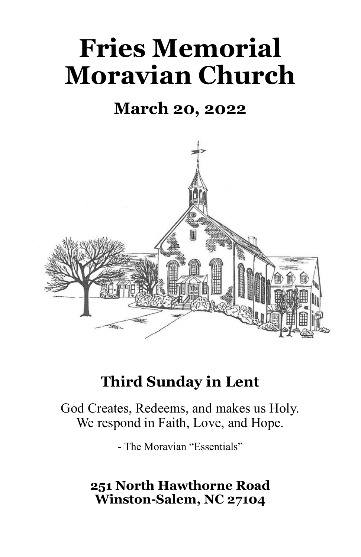# **Fries Memorial Moravian Church**

# **March 20, 2022**



# **Third Sunday in Lent**

God Creates, Redeems, and makes us Holy. We respond in Faith, Love, and Hope.

- The Moravian "Essentials"

## **251 North Hawthorne Road Winston-Salem, NC 27104**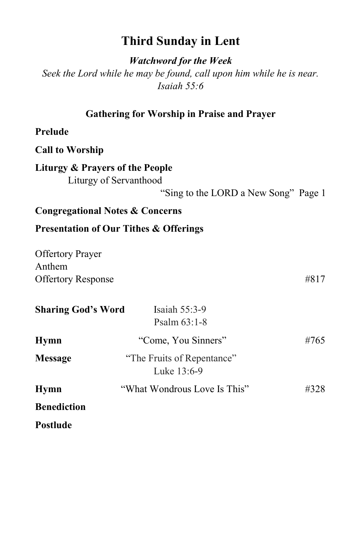### **Third Sunday in Lent**

*Watchword for the Week*

*Seek the Lord while he may be found, call upon him while he is near. Isaiah 55:6*

#### **Gathering for Worship in Praise and Prayer**

#### **Prelude**

**Call to Worship**

#### **Liturgy & Prayers of the People** Liturgy of Servanthood

"Sing to the LORD a New Song" Page 1

#### **Congregational Notes & Concerns**

#### **Presentation of Our Tithes & Offerings**

| <b>Offertory Prayer</b>   |      |
|---------------------------|------|
| Anthem                    |      |
| <b>Offertory Response</b> | #817 |

| <b>Sharing God's Word</b> | Isaiah 55:3-9<br>Psalm $63:1-8$           |      |
|---------------------------|-------------------------------------------|------|
| <b>Hymn</b>               | "Come, You Sinners"                       | #765 |
| <b>Message</b>            | "The Fruits of Repentance"<br>Luke 13:6-9 |      |
| <b>Hymn</b>               | "What Wondrous Love Is This"              | #328 |
| <b>Benediction</b>        |                                           |      |
| <b>Postlude</b>           |                                           |      |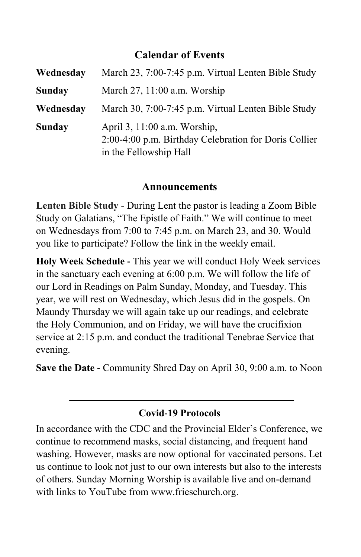#### **Calendar of Events**

| Wednesday     | March 23, 7:00-7:45 p.m. Virtual Lenten Bible Study                                                             |
|---------------|-----------------------------------------------------------------------------------------------------------------|
| <b>Sunday</b> | March $27$ , $11:00$ a.m. Worship                                                                               |
| Wednesday     | March 30, 7:00-7:45 p.m. Virtual Lenten Bible Study                                                             |
| Sunday        | April 3, 11:00 a.m. Worship,<br>2:00-4:00 p.m. Birthday Celebration for Doris Collier<br>in the Fellowship Hall |

#### **Announcements**

**Lenten Bible Study** - During Lent the pastor is leading a Zoom Bible Study on Galatians, "The Epistle of Faith." We will continue to meet on Wednesdays from 7:00 to 7:45 p.m. on March 23, and 30. Would you like to participate? Follow the link in the weekly email.

**Holy Week Schedule -** This year we will conduct Holy Week services in the sanctuary each evening at 6:00 p.m. We will follow the life of our Lord in Readings on Palm Sunday, Monday, and Tuesday. This year, we will rest on Wednesday, which Jesus did in the gospels. On Maundy Thursday we will again take up our readings, and celebrate the Holy Communion, and on Friday, we will have the crucifixion service at 2:15 p.m. and conduct the traditional Tenebrae Service that evening.

**Save the Date** - Community Shred Day on April 30, 9:00 a.m. to Noon

#### **Covid-19 Protocols**

In accordance with the CDC and the Provincial Elder's Conference, we continue to recommend masks, social distancing, and frequent hand washing. However, masks are now optional for vaccinated persons. Let us continue to look not just to our own interests but also to the interests of others. Sunday Morning Worship is available live and on-demand with links to YouTube from www.frieschurch.org.